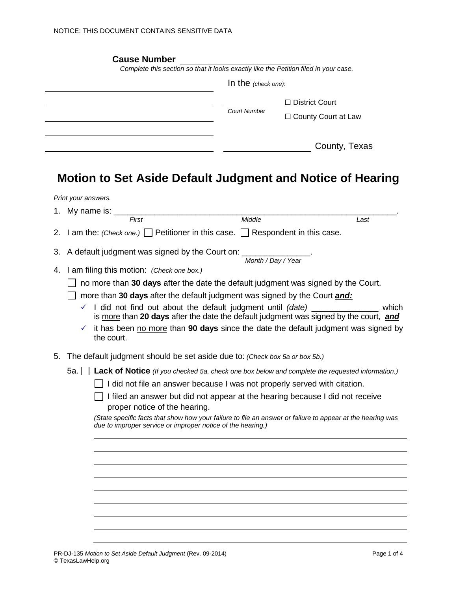|                                                                                                                                                                                         | Complete this section so that it looks exactly like the Petition filed in your case. |                                                                                                            |  |
|-----------------------------------------------------------------------------------------------------------------------------------------------------------------------------------------|--------------------------------------------------------------------------------------|------------------------------------------------------------------------------------------------------------|--|
|                                                                                                                                                                                         |                                                                                      | In the (check one):                                                                                        |  |
|                                                                                                                                                                                         |                                                                                      | □ District Court                                                                                           |  |
|                                                                                                                                                                                         | <b>Court Number</b>                                                                  | □ County Court at Law                                                                                      |  |
|                                                                                                                                                                                         |                                                                                      | County, Texas                                                                                              |  |
| <b>Motion to Set Aside Default Judgment and Notice of Hearing</b>                                                                                                                       |                                                                                      |                                                                                                            |  |
| Print your answers.                                                                                                                                                                     |                                                                                      |                                                                                                            |  |
| 1. My name is: ______                                                                                                                                                                   |                                                                                      |                                                                                                            |  |
| First                                                                                                                                                                                   | Middle                                                                               | Last                                                                                                       |  |
|                                                                                                                                                                                         |                                                                                      |                                                                                                            |  |
|                                                                                                                                                                                         |                                                                                      |                                                                                                            |  |
| A default judgment was signed by the Court on: ______________                                                                                                                           |                                                                                      |                                                                                                            |  |
|                                                                                                                                                                                         | Month / Day / Year                                                                   |                                                                                                            |  |
| I am filing this motion: (Check one box.)                                                                                                                                               |                                                                                      |                                                                                                            |  |
| 2. I am the: (Check one.) Petitioner in this case. Respondent in this case.<br>3.<br>4.<br>no more than 30 days after the date the default judgment was signed by the Court.            |                                                                                      |                                                                                                            |  |
| more than 30 days after the default judgment was signed by the Court and:<br>$\checkmark$ I did not find out about the default judgment until (date) ________________                   |                                                                                      | which                                                                                                      |  |
|                                                                                                                                                                                         |                                                                                      | is more than 20 days after the date the default judgment was signed by the court, and                      |  |
| ✓<br>the court.                                                                                                                                                                         |                                                                                      | it has been no more than 90 days since the date the default judgment was signed by                         |  |
| The default judgment should be set aside due to: (Check box 5a or box 5b.)                                                                                                              |                                                                                      |                                                                                                            |  |
|                                                                                                                                                                                         |                                                                                      |                                                                                                            |  |
| 5a. Lack of Notice (If you checked 5a, check one box below and complete the requested information.)<br>$\Box$ I did not file an answer because I was not properly served with citation. |                                                                                      |                                                                                                            |  |
| proper notice of the hearing.                                                                                                                                                           |                                                                                      | I filed an answer but did not appear at the hearing because I did not receive                              |  |
| 5.<br>due to improper service or improper notice of the hearing.)                                                                                                                       |                                                                                      | (State specific facts that show how your failure to file an answer or failure to appear at the hearing was |  |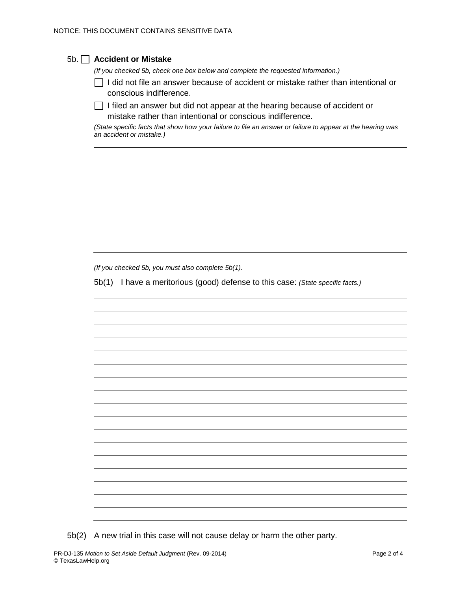| <b>Accident or Mistake</b>                                                                                                                               |
|----------------------------------------------------------------------------------------------------------------------------------------------------------|
| (If you checked 5b, check one box below and complete the requested information.)                                                                         |
| I did not file an answer because of accident or mistake rather than intentional or<br>conscious indifference.                                            |
| I filed an answer but did not appear at the hearing because of accident or<br>$\mathbf{I}$<br>mistake rather than intentional or conscious indifference. |
| (State specific facts that show how your failure to file an answer or failure to appear at the hearing was<br>an accident or mistake.)                   |
|                                                                                                                                                          |
|                                                                                                                                                          |
|                                                                                                                                                          |
|                                                                                                                                                          |
|                                                                                                                                                          |
|                                                                                                                                                          |
|                                                                                                                                                          |
| (If you checked 5b, you must also complete 5b(1).<br>5b(1) I have a meritorious (good) defense to this case: (State specific facts.)                     |
|                                                                                                                                                          |
|                                                                                                                                                          |
|                                                                                                                                                          |
|                                                                                                                                                          |
|                                                                                                                                                          |
|                                                                                                                                                          |
|                                                                                                                                                          |
|                                                                                                                                                          |
|                                                                                                                                                          |
|                                                                                                                                                          |
|                                                                                                                                                          |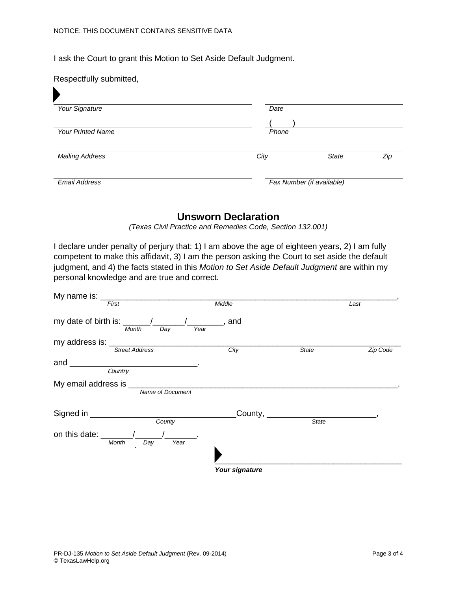I ask the Court to grant this Motion to Set Aside Default Judgment.

| Respectfully submitted,  |       |                           |     |
|--------------------------|-------|---------------------------|-----|
| Your Signature           | Date  |                           |     |
|                          |       |                           |     |
| <b>Your Printed Name</b> | Phone |                           |     |
|                          |       |                           |     |
| <b>Mailing Address</b>   | City  | <b>State</b>              | Zip |
|                          |       |                           |     |
| <b>Email Address</b>     |       | Fax Number (if available) |     |

## **Unsworn Declaration**

*(Texas Civil Practice and Remedies Code, Section 132.001)*

I declare under penalty of perjury that: 1) I am above the age of eighteen years, 2) I am fully competent to make this affidavit, 3) I am the person asking the Court to set aside the default judgment, and 4) the facts stated in this *Motion to Set Aside Default Judgment* are within my personal knowledge and are true and correct.

| My name is: $\frac{1}{2}$                                 |                   |              |          |
|-----------------------------------------------------------|-------------------|--------------|----------|
| First                                                     | Middle            |              | Last     |
| my date of birth is: $\frac{\sqrt{2}}{2}$<br>Month<br>Day | $\_,$ and<br>Year |              |          |
| my address is: _____________                              |                   |              |          |
| <b>Street Address</b>                                     | City              | State        | Zip Code |
| and $\overline{\phantom{0}}$                              |                   |              |          |
| Country                                                   |                   |              |          |
| My email address is _                                     |                   |              |          |
| Name of Document                                          |                   |              |          |
| Signed in ________________                                | County,           |              |          |
| County                                                    |                   | <b>State</b> |          |
| on this date: _____<br>Month<br>Day                       | Year              |              |          |
| $\cdot$                                                   |                   |              |          |
|                                                           | Your signature    |              |          |